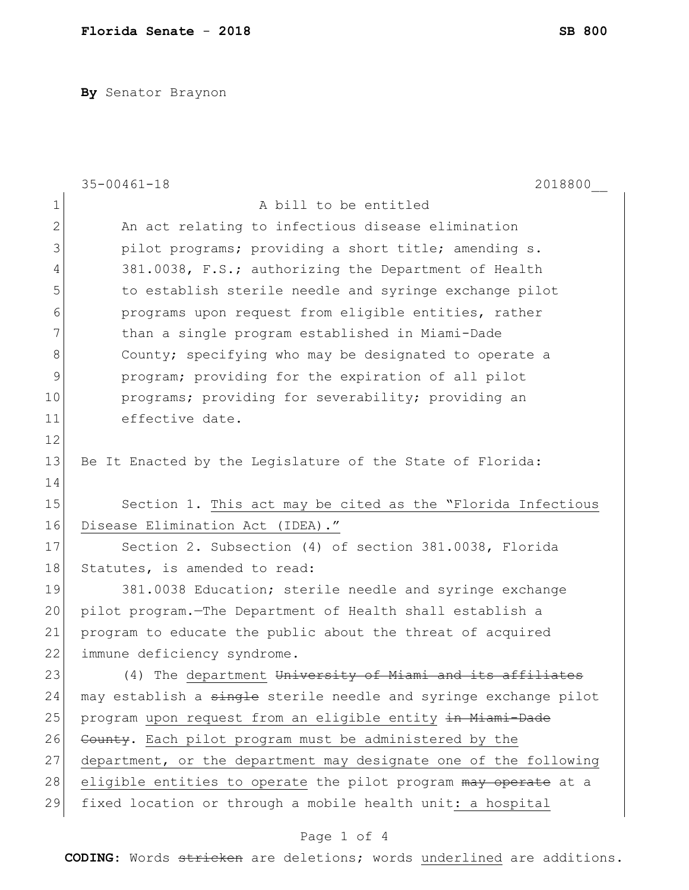**By** Senator Braynon

|              | 2018800<br>$35 - 00461 - 18$                                     |
|--------------|------------------------------------------------------------------|
| 1            | A bill to be entitled                                            |
| $\mathbf{2}$ | An act relating to infectious disease elimination                |
| 3            | pilot programs; providing a short title; amending s.             |
| 4            | 381.0038, F.S.; authorizing the Department of Health             |
| 5            | to establish sterile needle and syringe exchange pilot           |
| 6            | programs upon request from eligible entities, rather             |
| 7            | than a single program established in Miami-Dade                  |
| 8            | County; specifying who may be designated to operate a            |
| 9            | program; providing for the expiration of all pilot               |
| 10           | programs; providing for severability; providing an               |
| 11           | effective date.                                                  |
| 12           |                                                                  |
| 13           | Be It Enacted by the Legislature of the State of Florida:        |
| 14           |                                                                  |
| 15           | Section 1. This act may be cited as the "Florida Infectious      |
| 16           | Disease Elimination Act (IDEA)."                                 |
| 17           | Section 2. Subsection (4) of section 381.0038, Florida           |
| 18           | Statutes, is amended to read:                                    |
| 19           | 381.0038 Education; sterile needle and syringe exchange          |
| 20           | pilot program. The Department of Health shall establish a        |
| 21           | program to educate the public about the threat of acquired       |
| 22           | immune deficiency syndrome.                                      |
| 23           | (4) The department University of Miami and its affiliates        |
| 24           | may establish a single sterile needle and syringe exchange pilot |
| 25           | program upon request from an eligible entity in Miami-Dade       |
| 26           | County. Each pilot program must be administered by the           |
| 27           | department, or the department may designate one of the following |
| 28           | eligible entities to operate the pilot program may operate at a  |
| 29           | fixed location or through a mobile health unit: a hospital       |

## Page 1 of 4

**CODING**: Words stricken are deletions; words underlined are additions.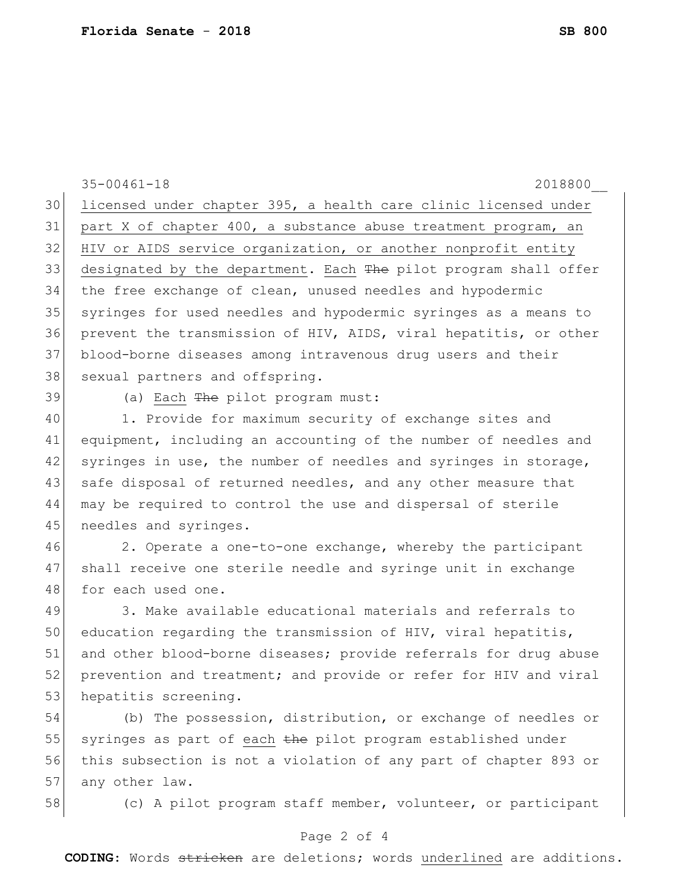35-00461-18 2018800\_\_ 30 licensed under chapter 395, a health care clinic licensed under 31 part X of chapter 400, a substance abuse treatment program, an 32 HIV or AIDS service organization, or another nonprofit entity 33 designated by the department. Each The pilot program shall offer 34 the free exchange of clean, unused needles and hypodermic 35 syringes for used needles and hypodermic syringes as a means to 36 prevent the transmission of HIV, AIDS, viral hepatitis, or other 37 blood-borne diseases among intravenous drug users and their 38 sexual partners and offspring. 39 (a) Each <del>The</del> pilot program must: 40 1. Provide for maximum security of exchange sites and 41 equipment, including an accounting of the number of needles and 42 syringes in use, the number of needles and syringes in storage, 43 safe disposal of returned needles, and any other measure that 44 may be required to control the use and dispersal of sterile 45 needles and syringes. 46 2. Operate a one-to-one exchange, whereby the participant 47 shall receive one sterile needle and syringe unit in exchange 48 for each used one. 49 3. Make available educational materials and referrals to 50 education regarding the transmission of HIV, viral hepatitis, 51 and other blood-borne diseases; provide referrals for drug abuse 52 prevention and treatment; and provide or refer for HIV and viral 53 hepatitis screening. 54 (b) The possession, distribution, or exchange of needles or 55 syringes as part of each the pilot program established under 56 this subsection is not a violation of any part of chapter 893 or 57 any other law. 58 (c) A pilot program staff member, volunteer, or participant

## Page 2 of 4

**CODING**: Words stricken are deletions; words underlined are additions.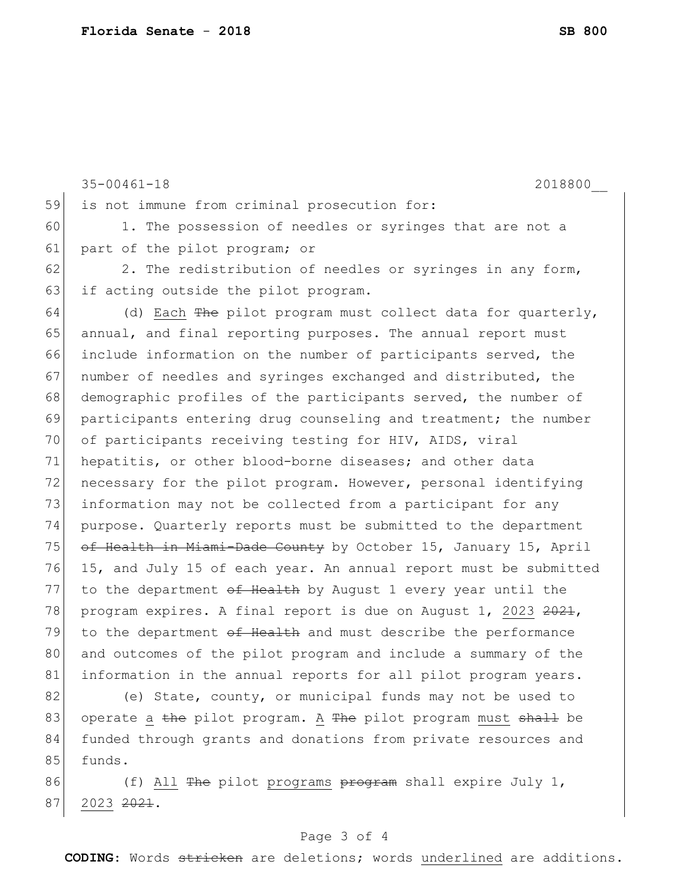35-00461-18 2018800\_\_ 59 is not immune from criminal prosecution for: 60 1. The possession of needles or syringes that are not a 61 part of the pilot program; or  $62$  2. The redistribution of needles or syringes in any form, 63 if acting outside the pilot program. 64 (d) Each  $\frac{m}{2}$  pilot program must collect data for quarterly, 65 annual, and final reporting purposes. The annual report must 66 include information on the number of participants served, the 67 number of needles and syringes exchanged and distributed, the 68 demographic profiles of the participants served, the number of 69 participants entering drug counseling and treatment; the number 70 of participants receiving testing for HIV, AIDS, viral 71 hepatitis, or other blood-borne diseases; and other data 72 necessary for the pilot program. However, personal identifying 73 information may not be collected from a participant for any 74 purpose. Quarterly reports must be submitted to the department 75 of Health in Miami-Dade County by October 15, January 15, April 76 15, and July 15 of each year. An annual report must be submitted 77 to the department of Health by August 1 every year until the 78 program expires. A final report is due on August 1, 2023 2021, 79 to the department  $\sigma f$  Health and must describe the performance 80 and outcomes of the pilot program and include a summary of the 81 information in the annual reports for all pilot program years.

82 (e) State, county, or municipal funds may not be used to 83 operate a the pilot program. A The pilot program must shall be 84 funded through grants and donations from private resources and 85 funds.

86 (f) All <del>The</del> pilot programs <del>program</del> shall expire July 1, 87 2023 2021.

## Page 3 of 4

**CODING**: Words stricken are deletions; words underlined are additions.